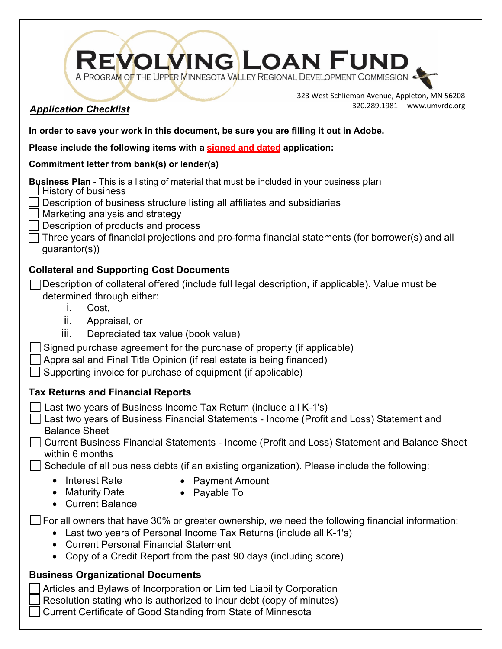| REVOLVING LOAN FUND                                                                                                                                                                                                                                                                                                                                                                                                                                                                                                            |                                                                              |
|--------------------------------------------------------------------------------------------------------------------------------------------------------------------------------------------------------------------------------------------------------------------------------------------------------------------------------------------------------------------------------------------------------------------------------------------------------------------------------------------------------------------------------|------------------------------------------------------------------------------|
| <b>Application Checklist</b>                                                                                                                                                                                                                                                                                                                                                                                                                                                                                                   | 323 West Schlieman Avenue, Appleton, MN 56208<br>320.289.1981 www.umvrdc.org |
| In order to save your work in this document, be sure you are filling it out in Adobe.                                                                                                                                                                                                                                                                                                                                                                                                                                          |                                                                              |
| Please include the following items with a signed and dated application:                                                                                                                                                                                                                                                                                                                                                                                                                                                        |                                                                              |
| Commitment letter from bank(s) or lender(s)                                                                                                                                                                                                                                                                                                                                                                                                                                                                                    |                                                                              |
| <b>Business Plan</b> - This is a listing of material that must be included in your business plan<br>History of business<br>Description of business structure listing all affiliates and subsidiaries<br>Marketing analysis and strategy<br>Description of products and process<br>Three years of financial projections and pro-forma financial statements (for borrower(s) and all<br>guarantor(s))                                                                                                                            |                                                                              |
| <b>Collateral and Supporting Cost Documents</b><br>Description of collateral offered (include full legal description, if applicable). Value must be<br>determined through either:<br>Cost,<br>İ.<br>ii.<br>Appraisal, or<br>Depreciated tax value (book value)<br>Ш.<br>Signed purchase agreement for the purchase of property (if applicable)<br>Appraisal and Final Title Opinion (if real estate is being financed)<br>Supporting invoice for purchase of equipment (if applicable)                                         |                                                                              |
| <b>Tax Returns and Financial Reports</b>                                                                                                                                                                                                                                                                                                                                                                                                                                                                                       |                                                                              |
| Last two years of Business Income Tax Return (include all K-1's)<br>Last two years of Business Financial Statements - Income (Profit and Loss) Statement and<br><b>Balance Sheet</b><br>Current Business Financial Statements - Income (Profit and Loss) Statement and Balance Sheet<br>within 6 months<br>Schedule of all business debts (if an existing organization). Please include the following:<br><b>Interest Rate</b><br>Payment Amount<br>$\bullet$<br>$\bullet$<br>Maturity Date<br>Payable To<br>• Current Balance |                                                                              |
| $\Box$ For all owners that have 30% or greater ownership, we need the following financial information:<br>Last two years of Personal Income Tax Returns (include all K-1's)<br>$\bullet$<br><b>Current Personal Financial Statement</b><br>• Copy of a Credit Report from the past 90 days (including score)                                                                                                                                                                                                                   |                                                                              |
| <b>Business Organizational Documents</b><br>Articles and Bylaws of Incorporation or Limited Liability Corporation<br>Resolution stating who is authorized to incur debt (copy of minutes)<br>Current Certificate of Good Standing from State of Minnesota                                                                                                                                                                                                                                                                      |                                                                              |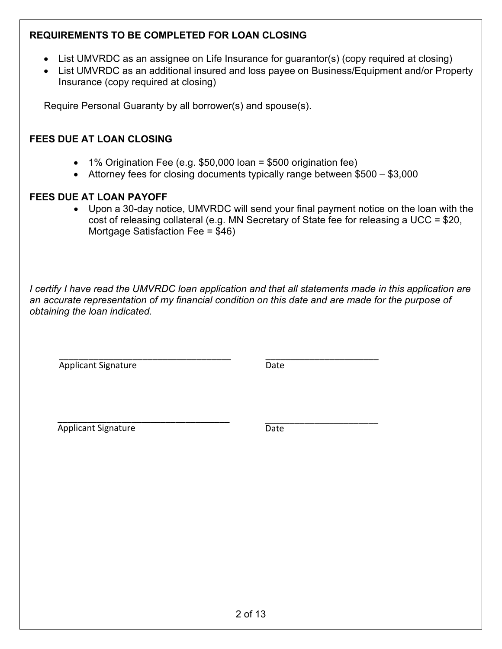# **REQUIREMENTS TO BE COMPLETED FOR LOAN CLOSING**

- List UMVRDC as an assignee on Life Insurance for guarantor(s) (copy required at closing)
- List UMVRDC as an additional insured and loss payee on Business/Equipment and/or Property Insurance (copy required at closing)

Require Personal Guaranty by all borrower(s) and spouse(s).

# **FEES DUE AT LOAN CLOSING**

- 1% Origination Fee (e.g.  $$50,000$  loan = \$500 origination fee)
- Attorney fees for closing documents typically range between \$500 \$3,000

# **FEES DUE AT LOAN PAYOFF**

• Upon a 30-day notice, UMVRDC will send your final payment notice on the loan with the cost of releasing collateral (e.g. MN Secretary of State fee for releasing a UCC = \$20, Mortgage Satisfaction Fee = \$46)

*I certify I have read the UMVRDC loan application and that all statements made in this application are an accurate representation of my financial condition on this date and are made for the purpose of obtaining the loan indicated.* 

\_\_\_\_\_\_\_\_\_\_\_\_\_\_\_\_\_\_\_\_\_\_\_\_\_\_\_\_\_\_\_\_\_\_\_ Applicant Signature

\_\_\_\_\_\_\_\_\_\_\_\_\_\_\_\_\_\_\_\_\_\_\_ Date

\_\_\_\_\_\_\_\_\_\_\_\_\_\_\_\_\_\_\_\_\_\_\_\_\_\_\_\_\_\_\_\_\_\_\_ Applicant Signature

\_\_\_\_\_\_\_\_\_\_\_\_\_\_\_\_\_\_\_\_\_\_\_ Date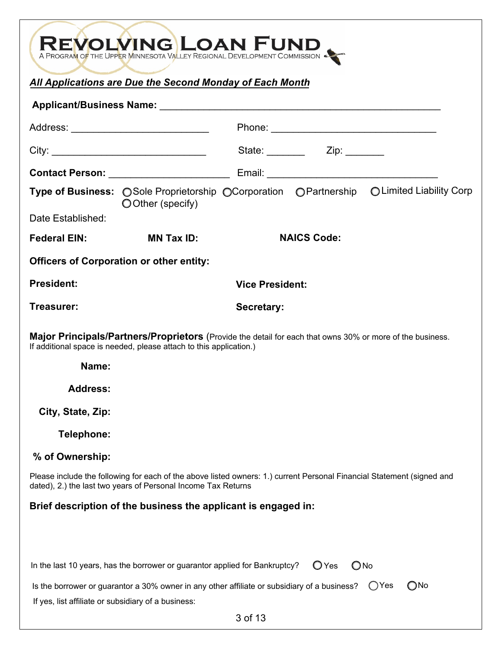|                                                                                                                                                                                                                                |                                                                             | A PROGRAM OF THE UPPER MINNESOTA VALLEY REGIONAL DEVELOPMENT COMMISSION                                                |
|--------------------------------------------------------------------------------------------------------------------------------------------------------------------------------------------------------------------------------|-----------------------------------------------------------------------------|------------------------------------------------------------------------------------------------------------------------|
|                                                                                                                                                                                                                                | All Applications are Due the Second Monday of Each Month                    |                                                                                                                        |
|                                                                                                                                                                                                                                |                                                                             |                                                                                                                        |
|                                                                                                                                                                                                                                | Address: _______________________________                                    |                                                                                                                        |
|                                                                                                                                                                                                                                |                                                                             |                                                                                                                        |
|                                                                                                                                                                                                                                |                                                                             |                                                                                                                        |
|                                                                                                                                                                                                                                | OOther (specify)                                                            | Type of Business: ○ Sole Proprietorship ○ Corporation ○ Partnership ○ Limited Liability Corp                           |
| Date Established:                                                                                                                                                                                                              |                                                                             |                                                                                                                        |
| Federal EIN: The control of the control of the control of the control of the control of the control of the control of the control of the control of the control of the control of the control of the control of the control of | <b>MN Tax ID:</b>                                                           | <b>NAICS Code:</b>                                                                                                     |
|                                                                                                                                                                                                                                | <b>Officers of Corporation or other entity:</b>                             |                                                                                                                        |
| <b>President:</b>                                                                                                                                                                                                              |                                                                             | <b>Vice President:</b>                                                                                                 |
| Treasurer:                                                                                                                                                                                                                     |                                                                             | Secretary:                                                                                                             |
|                                                                                                                                                                                                                                | If additional space is needed, please attach to this application.)          | <b>Major Principals/Partners/Proprietors</b> (Provide the detail for each that owns 30% or more of the business.       |
| Name:                                                                                                                                                                                                                          |                                                                             |                                                                                                                        |
| <b>Address:</b>                                                                                                                                                                                                                |                                                                             |                                                                                                                        |
| City, State, Zip:                                                                                                                                                                                                              |                                                                             |                                                                                                                        |
| Telephone:                                                                                                                                                                                                                     |                                                                             |                                                                                                                        |
| % of Ownership:                                                                                                                                                                                                                |                                                                             |                                                                                                                        |
|                                                                                                                                                                                                                                | dated), 2.) the last two years of Personal Income Tax Returns               | Please include the following for each of the above listed owners: 1.) current Personal Financial Statement (signed and |
|                                                                                                                                                                                                                                | Brief description of the business the applicant is engaged in:              |                                                                                                                        |
|                                                                                                                                                                                                                                |                                                                             |                                                                                                                        |
|                                                                                                                                                                                                                                | In the last 10 years, has the borrower or guarantor applied for Bankruptcy? | $\bigcirc$ No<br>$\bigcirc$ Yes                                                                                        |
| If yes, list affiliate or subsidiary of a business:                                                                                                                                                                            |                                                                             | $\bigcirc$ No<br>()Yes<br>Is the borrower or guarantor a 30% owner in any other affiliate or subsidiary of a business? |
|                                                                                                                                                                                                                                |                                                                             | 3 of 13                                                                                                                |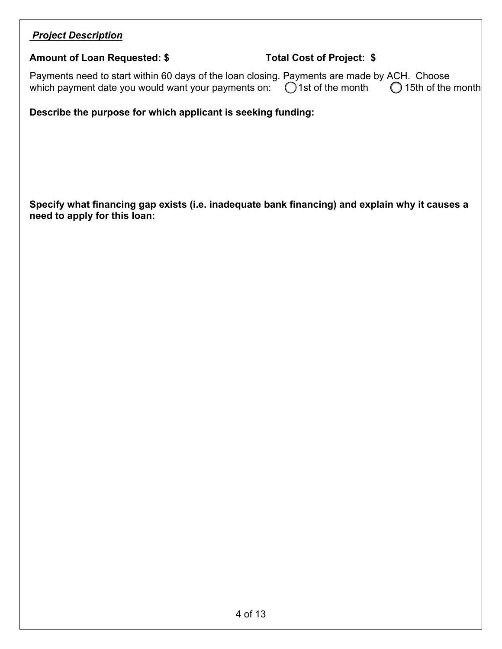# *Project Description*

### **Amount of Loan Requested: \$ Total Cost of Project: \$**

Payments need to start within 60 days of the loan closing. Payments are made by ACH. Choose which payment date you would want your payments on:  $\bigcirc$  1st of the month  $\bigcirc$  15th of the month

**Describe the purpose for which applicant is seeking funding:** 

**Specify what financing gap exists (i.e. inadequate bank financing) and explain why it causes a need to apply for this loan:**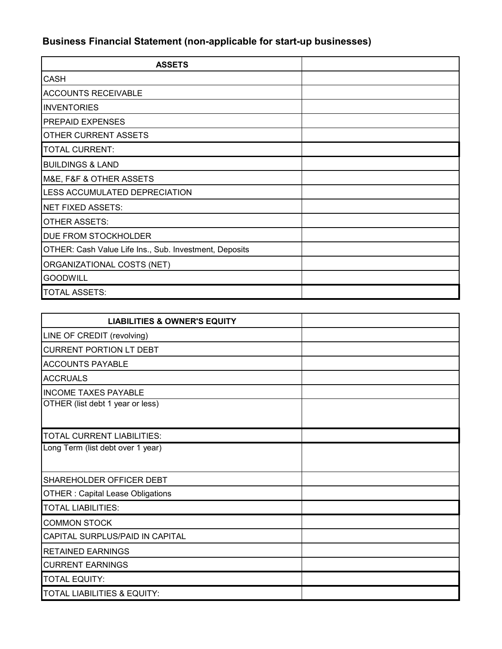# **Business Financial Statement (non-applicable for start-up businesses)**

| <b>ASSETS</b>                                          |  |
|--------------------------------------------------------|--|
| <b>CASH</b>                                            |  |
| <b>ACCOUNTS RECEIVABLE</b>                             |  |
| <b>INVENTORIES</b>                                     |  |
| <b>PREPAID EXPENSES</b>                                |  |
| OTHER CURRENT ASSETS                                   |  |
| <b>TOTAL CURRENT:</b>                                  |  |
| <b>BUILDINGS &amp; LAND</b>                            |  |
| M&E, F&F & OTHER ASSETS                                |  |
| LESS ACCUMULATED DEPRECIATION                          |  |
| <b>NET FIXED ASSETS:</b>                               |  |
| <b>OTHER ASSETS:</b>                                   |  |
| DUE FROM STOCKHOLDER                                   |  |
| OTHER: Cash Value Life Ins., Sub. Investment, Deposits |  |
| ORGANIZATIONAL COSTS (NET)                             |  |
| <b>GOODWILL</b>                                        |  |
| <b>TOTAL ASSETS:</b>                                   |  |

| <b>LIABILITIES &amp; OWNER'S EQUITY</b> |  |
|-----------------------------------------|--|
| LINE OF CREDIT (revolving)              |  |
| <b>CURRENT PORTION LT DEBT</b>          |  |
| <b>ACCOUNTS PAYABLE</b>                 |  |
| <b>ACCRUALS</b>                         |  |
| <b>INCOME TAXES PAYABLE</b>             |  |
| OTHER (list debt 1 year or less)        |  |
|                                         |  |
| <b>TOTAL CURRENT LIABILITIES:</b>       |  |
| Long Term (list debt over 1 year)       |  |
|                                         |  |
| SHAREHOLDER OFFICER DEBT                |  |
| <b>OTHER: Capital Lease Obligations</b> |  |
| <b>TOTAL LIABILITIES:</b>               |  |
| <b>COMMON STOCK</b>                     |  |
| CAPITAL SURPLUS/PAID IN CAPITAL         |  |
| <b>RETAINED EARNINGS</b>                |  |
| <b>CURRENT EARNINGS</b>                 |  |
| <b>TOTAL EQUITY:</b>                    |  |
| TOTAL LIABILITIES & EQUITY:             |  |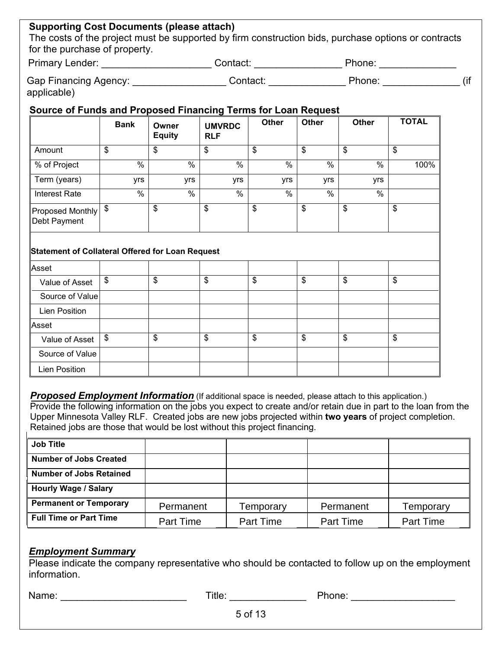# **Supporting Cost Documents (please attach)**

The costs of the project must be supported by firm construction bids, purchase options or contracts for the purchase of property.

| <b>Primary Lender:</b> | .cntact: | 'hone: |  |
|------------------------|----------|--------|--|
|                        |          |        |  |
|                        |          |        |  |

| <b>Gap Financing Agency:</b> | ∖ontact | Phone |  |
|------------------------------|---------|-------|--|
| applicable)                  |         |       |  |

### **Source of Funds and Proposed Financing Terms for Loan Request**

| <b>Bank</b> | Owner<br><b>Equity</b> | <b>UMVRDC</b><br><b>RLF</b> | <b>Other</b>  | <b>Other</b> | <b>Other</b> | <b>TOTAL</b> |
|-------------|------------------------|-----------------------------|---------------|--------------|--------------|--------------|
| \$          | \$                     | \$                          | \$            | \$           | \$           | \$           |
| %           | $\frac{0}{0}$          | %                           | $\frac{0}{0}$ | %            | $\%$         | 100%         |
| yrs         | yrs                    | yrs                         | yrs           | yrs          | yrs          |              |
| %           | $\frac{0}{0}$          | %                           | $\%$          | %            | $\%$         |              |
| \$          | \$                     | \$                          | \$            | \$           | \$           | \$           |
|             |                        |                             |               |              |              |              |

# **Statement of Collateral Offered for Loan Request**

| Asset                |               |          |          |          |
|----------------------|---------------|----------|----------|----------|
| Value of Asset       | \$            | \$<br>\$ | \$<br>\$ | \$<br>\$ |
| Source of Value      |               |          |          |          |
| <b>Lien Position</b> |               |          |          |          |
| Asset                |               |          |          |          |
| Value of Asset       | $\frac{1}{2}$ | \$<br>\$ | \$<br>\$ | \$<br>\$ |
| Source of Value      |               |          |          |          |
| <b>Lien Position</b> |               |          |          |          |

**Proposed Employment Information** (If additional space is needed, please attach to this application.) Provide the following information on the jobs you expect to create and/or retain due in part to the loan from the Upper Minnesota Valley RLF. Created jobs are new jobs projected within **two years** of project completion. Retained jobs are those that would be lost without this project financing.

| <b>Job Title</b>               |           |           |           |           |
|--------------------------------|-----------|-----------|-----------|-----------|
| <b>Number of Jobs Created</b>  |           |           |           |           |
| <b>Number of Jobs Retained</b> |           |           |           |           |
| <b>Hourly Wage / Salary</b>    |           |           |           |           |
| <b>Permanent or Temporary</b>  | Permanent | Temporary | Permanent | Temporary |
| <b>Full Time or Part Time</b>  | Part Time | Part Time | Part Time | Part Time |

#### *Employment Summary*

Please indicate the company representative who should be contacted to follow up on the employment information.

Name: \_\_\_\_\_\_\_\_\_\_\_\_\_\_\_\_\_\_\_\_\_\_\_ Title: \_\_\_\_\_\_\_\_\_\_\_\_\_\_ Phone: \_\_\_\_\_\_\_\_\_\_\_\_\_\_\_\_\_\_\_

5 of 13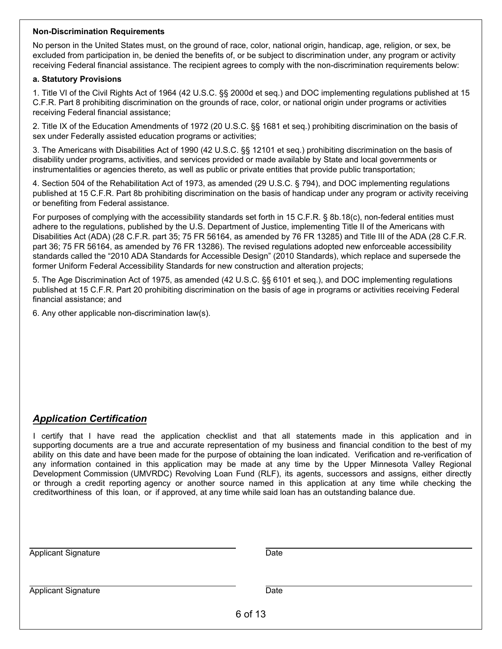#### **Non-Discrimination Requirements**

No person in the United States must, on the ground of race, color, national origin, handicap, age, religion, or sex, be excluded from participation in, be denied the benefits of, or be subject to discrimination under, any program or activity receiving Federal financial assistance. The recipient agrees to comply with the non-discrimination requirements below:

#### **a. Statutory Provisions**

1. Title VI of the Civil Rights Act of 1964 (42 U.S.C. §§ 2000d et seq.) and DOC implementing regulations published at 15 C.F.R. Part 8 prohibiting discrimination on the grounds of race, color, or national origin under programs or activities receiving Federal financial assistance;

2. Title IX of the Education Amendments of 1972 (20 U.S.C. §§ 1681 et seq.) prohibiting discrimination on the basis of sex under Federally assisted education programs or activities;

3. The Americans with Disabilities Act of 1990 (42 U.S.C. §§ 12101 et seq.) prohibiting discrimination on the basis of disability under programs, activities, and services provided or made available by State and local governments or instrumentalities or agencies thereto, as well as public or private entities that provide public transportation;

4. Section 504 of the Rehabilitation Act of 1973, as amended (29 U.S.C. § 794), and DOC implementing regulations published at 15 C.F.R. Part 8b prohibiting discrimination on the basis of handicap under any program or activity receiving or benefiting from Federal assistance.

For purposes of complying with the accessibility standards set forth in 15 C.F.R. § 8b.18(c), non-federal entities must adhere to the regulations, published by the U.S. Department of Justice, implementing Title II of the Americans with Disabilities Act (ADA) (28 C.F.R. part 35; 75 FR 56164, as amended by 76 FR 13285) and Title III of the ADA (28 C.F.R. part 36; 75 FR 56164, as amended by 76 FR 13286). The revised regulations adopted new enforceable accessibility standards called the "2010 ADA Standards for Accessible Design" (2010 Standards), which replace and supersede the former Uniform Federal Accessibility Standards for new construction and alteration projects;

5. The Age Discrimination Act of 1975, as amended (42 U.S.C. §§ 6101 et seq.), and DOC implementing regulations published at 15 C.F.R. Part 20 prohibiting discrimination on the basis of age in programs or activities receiving Federal financial assistance; and

6. Any other applicable non-discrimination law(s).

# *Application Certification*

I certify that I have read the application checklist and that all statements made in this application and in supporting documents are a true and accurate representation of my business and financial condition to the best of my ability on this date and have been made for the purpose of obtaining the loan indicated. Verification and re-verification of any information contained in this application may be made at any time by the Upper Minnesota Valley Regional Development Commission (UMVRDC) Revolving Loan Fund (RLF), its agents, successors and assigns, either directly or through a credit reporting agency or another source named in this application at any time while checking the creditworthiness of this loan, or if approved, at any time while said loan has an outstanding balance due.

| <b>Applicant Signature</b> | Date    |
|----------------------------|---------|
| <b>Applicant Signature</b> | Date    |
|                            | 6 of 13 |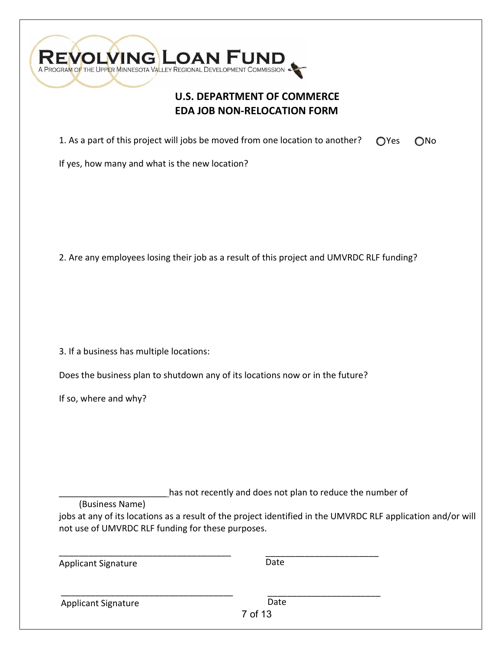

# **U.S. DEPARTMENT OF COMMERCE EDA JOB NON-RELOCATION FORM**

1. As a part of this project will jobs be moved from one location to another? OYes ONo

If yes, how many and what is the new location?

2. Are any employees losing their job as a result of this project and UMVRDC RLF funding?

3. If a business has multiple locations:

Does the business plan to shutdown any of its locations now or in the future?

If so, where and why?

has not recently and does not plan to reduce the number of

(Business Name)

\_\_\_\_\_\_\_\_\_\_\_\_\_\_\_\_\_\_\_\_\_\_\_\_\_\_\_\_\_\_\_\_\_\_\_

\_\_\_\_\_\_\_\_\_\_\_\_\_\_\_\_\_\_\_\_\_\_\_\_\_\_\_\_\_\_\_\_\_\_\_

jobs at any of its locations as a result of the project identified in the UMVRDC RLF application and/or will not use of UMVRDC RLF funding for these purposes.

Applicant Signature

\_\_\_\_\_\_\_\_\_\_\_\_\_\_\_\_\_\_\_\_\_\_\_ Date

\_\_\_\_\_\_\_\_\_\_\_\_\_\_\_\_\_\_\_\_\_\_\_

Applicant Signature

Date

7 of 13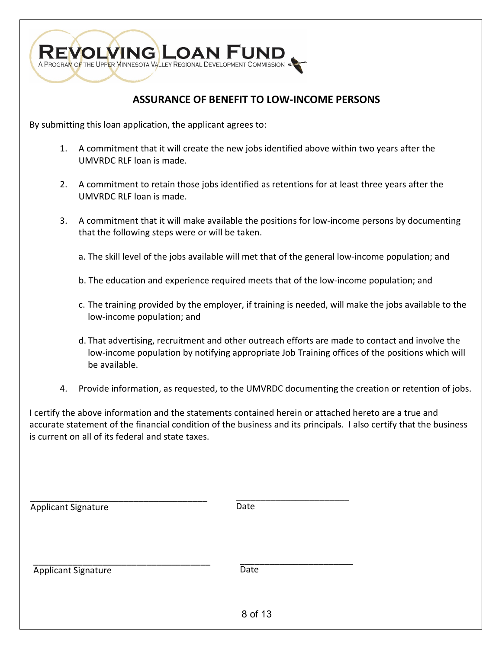

# **ASSURANCE OF BENEFIT TO LOW-INCOME PERSONS**

By submitting this loan application, the applicant agrees to:

- 1. A commitment that it will create the new jobs identified above within two years after the UMVRDC RLF loan is made.
- 2. A commitment to retain those jobs identified as retentions for at least three years after the UMVRDC RLF loan is made.
- 3. A commitment that it will make available the positions for low-income persons by documenting that the following steps were or will be taken.
	- a. The skill level of the jobs available will met that of the general low-income population; and
	- b. The education and experience required meets that of the low-income population; and
	- c. The training provided by the employer, if training is needed, will make the jobs available to the low-income population; and
	- d. That advertising, recruitment and other outreach efforts are made to contact and involve the low-income population by notifying appropriate Job Training offices of the positions which will be available.
- 4. Provide information, as requested, to the UMVRDC documenting the creation or retention of jobs.

I certify the above information and the statements contained herein or attached hereto are a true and accurate statement of the financial condition of the business and its principals. I also certify that the business is current on all of its federal and state taxes.

| <b>Applicant Signature</b> | Date    |
|----------------------------|---------|
| <b>Applicant Signature</b> | Date    |
|                            | 8 of 13 |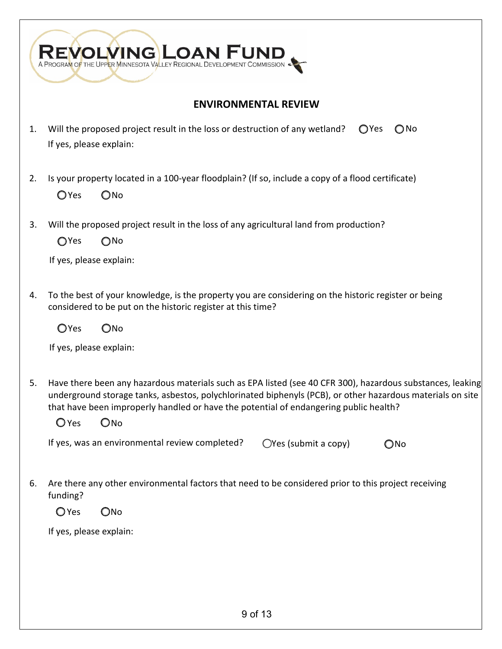|    | A PROGRAM OF THE UPPER MINNESOTA VALLEY REGIONAL DEVELOPMENT COMMISSION                                                                                                                                                                                                                                                                       |
|----|-----------------------------------------------------------------------------------------------------------------------------------------------------------------------------------------------------------------------------------------------------------------------------------------------------------------------------------------------|
|    | <b>ENVIRONMENTAL REVIEW</b>                                                                                                                                                                                                                                                                                                                   |
| 1. | Will the proposed project result in the loss or destruction of any wetland?<br>OYes<br>$\bigcirc$ No<br>If yes, please explain:                                                                                                                                                                                                               |
| 2. | Is your property located in a 100-year floodplain? (If so, include a copy of a flood certificate)<br>OYes<br>$\bigcirc$ No                                                                                                                                                                                                                    |
| 3. | Will the proposed project result in the loss of any agricultural land from production?<br>OYes<br>$\bigcirc$ No<br>If yes, please explain:                                                                                                                                                                                                    |
| 4. | To the best of your knowledge, is the property you are considering on the historic register or being<br>considered to be put on the historic register at this time?<br>OYes<br>$\bigcirc$ No<br>If yes, please explain:                                                                                                                       |
| 5. | Have there been any hazardous materials such as EPA listed (see 40 CFR 300), hazardous substances, leaking<br>underground storage tanks, asbestos, polychlorinated biphenyls (PCB), or other hazardous materials on site<br>that have been improperly handled or have the potential of endangering public health?<br>$\bigcirc$ Yes<br>$O$ No |
|    | If yes, was an environmental review completed?<br>$\bigcirc$ Yes (submit a copy)<br>$\bigcirc$ No                                                                                                                                                                                                                                             |
| 6. | Are there any other environmental factors that need to be considered prior to this project receiving<br>funding?<br>$O$ Yes<br>$O$ No                                                                                                                                                                                                         |
|    | If yes, please explain:                                                                                                                                                                                                                                                                                                                       |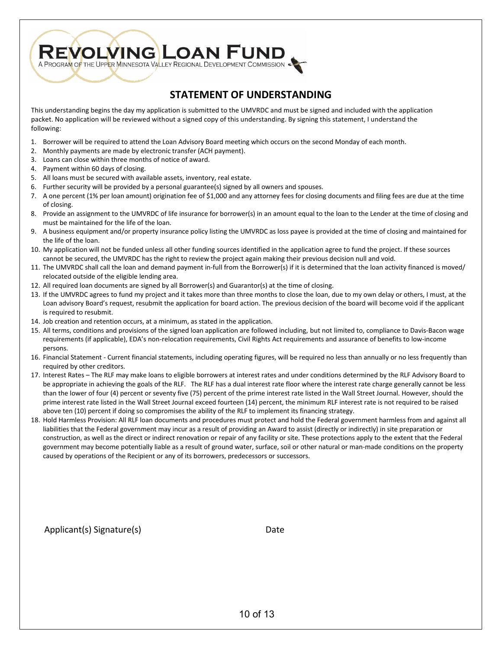

# **STATEMENT OF UNDERSTANDING**

This understanding begins the day my application is submitted to the UMVRDC and must be signed and included with the application packet. No application will be reviewed without a signed copy of this understanding. By signing this statement, I understand the following:

- 1. Borrower will be required to attend the Loan Advisory Board meeting which occurs on the second Monday of each month.
- 2. Monthly payments are made by electronic transfer (ACH payment).
- 3. Loans can close within three months of notice of award.
- 4. Payment within 60 days of closing.
- 5. All loans must be secured with available assets, inventory, real estate.
- 6. Further security will be provided by a personal guarantee(s) signed by all owners and spouses.
- 7. A one percent (1% per loan amount) origination fee of \$1,000 and any attorney fees for closing documents and filing fees are due at the time of closing.
- 8. Provide an assignment to the UMVRDC of life insurance for borrower(s) in an amount equal to the loan to the Lender at the time of closing and must be maintained for the life of the loan.
- 9. A business equipment and/or property insurance policy listing the UMVRDC as loss payee is provided at the time of closing and maintained for the life of the loan.
- 10. My application will not be funded unless all other funding sources identified in the application agree to fund the project. If these sources cannot be secured, the UMVRDC has the right to review the project again making their previous decision null and void.
- 11. The UMVRDC shall call the loan and demand payment in-full from the Borrower(s) if it is determined that the loan activity financed is moved/ relocated outside of the eligible lending area.
- 12. All required loan documents are signed by all Borrower(s) and Guarantor(s) at the time of closing.
- 13. If the UMVRDC agrees to fund my project and it takes more than three months to close the loan, due to my own delay or others, I must, at the Loan advisory Board's request, resubmit the application for board action. The previous decision of the board will become void if the applicant is required to resubmit.
- 14. Job creation and retention occurs, at a minimum, as stated in the application.
- 15. All terms, conditions and provisions of the signed loan application are followed including, but not limited to, compliance to Davis-Bacon wage requirements (if applicable), EDA's non-relocation requirements, Civil Rights Act requirements and assurance of benefits to low-income persons.
- 16. Financial Statement Current financial statements, including operating figures, will be required no less than annually or no less frequently than required by other creditors.
- 17. Interest Rates The RLF may make loans to eligible borrowers at interest rates and under conditions determined by the RLF Advisory Board to be appropriate in achieving the goals of the RLF. The RLF has a dual interest rate floor where the interest rate charge generally cannot be less than the lower of four (4) percent or seventy five (75) percent of the prime interest rate listed in the Wall Street Journal. However, should the prime interest rate listed in the Wall Street Journal exceed fourteen (14) percent, the minimum RLF interest rate is not required to be raised above ten (10) percent if doing so compromises the ability of the RLF to implement its financing strategy.
- 18. Hold Harmless Provision: All RLF loan documents and procedures must protect and hold the Federal government harmless from and against all liabilities that the Federal government may incur as a result of providing an Award to assist (directly or indirectly) in site preparation or construction, as well as the direct or indirect renovation or repair of any facility or site. These protections apply to the extent that the Federal government may become potentially liable as a result of ground water, surface, soil or other natural or man-made conditions on the property caused by operations of the Recipient or any of its borrowers, predecessors or successors.

Applicant(s) Signature(s) Date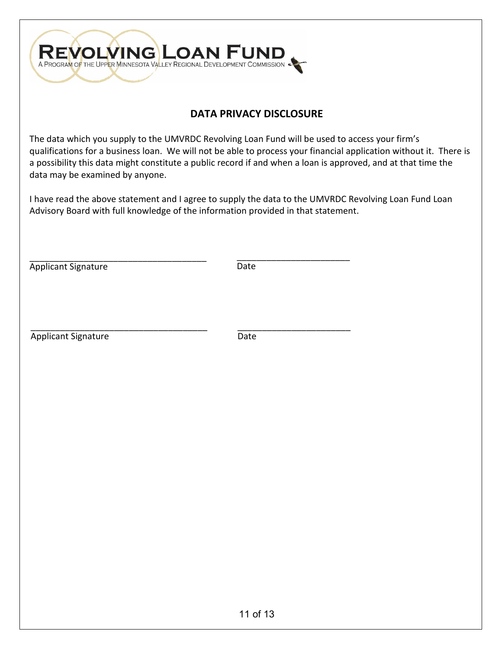

# **DATA PRIVACY DISCLOSURE**

The data which you supply to the UMVRDC Revolving Loan Fund will be used to access your firm's qualifications for a business loan. We will not be able to process your financial application without it. There is a possibility this data might constitute a public record if and when a loan is approved, and at that time the data may be examined by anyone.

I have read the above statement and I agree to supply the data to the UMVRDC Revolving Loan Fund Loan Advisory Board with full knowledge of the information provided in that statement.

\_\_\_\_\_\_\_\_\_\_\_\_\_\_\_\_\_\_\_\_\_\_\_\_\_\_\_\_\_\_\_\_\_\_\_\_ Applicant Signature

\_\_\_\_\_\_\_\_\_\_\_\_\_\_\_\_\_\_\_\_\_\_\_ Date

\_\_\_\_\_\_\_\_\_\_\_\_\_\_\_\_\_\_\_\_\_\_\_\_\_\_\_\_\_\_\_\_\_\_\_\_ Applicant Signature

\_\_\_\_\_\_\_\_\_\_\_\_\_\_\_\_\_\_\_\_\_\_\_ Date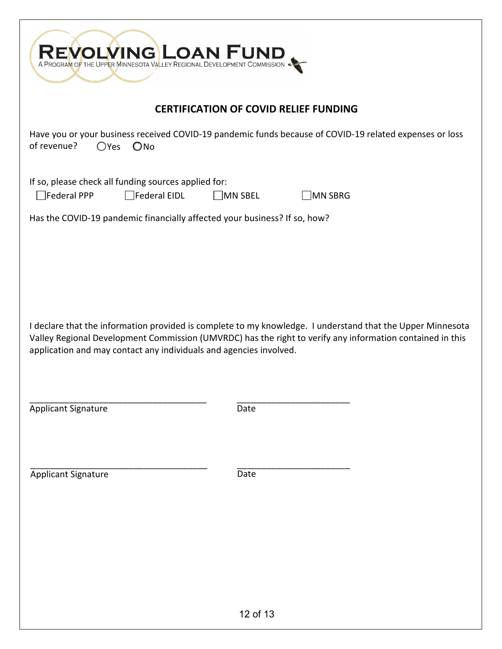| A PROGRAM OF THE UPPER MINNESOTA VALLEY REGIONAL DEVELOPMENT COMMISSION                                                                                                                                                                                                                       |                                                                                                         |  |  |
|-----------------------------------------------------------------------------------------------------------------------------------------------------------------------------------------------------------------------------------------------------------------------------------------------|---------------------------------------------------------------------------------------------------------|--|--|
| <b>CERTIFICATION OF COVID RELIEF FUNDING</b>                                                                                                                                                                                                                                                  |                                                                                                         |  |  |
| of revenue?<br>$O$ Yes<br>$O$ No                                                                                                                                                                                                                                                              | Have you or your business received COVID-19 pandemic funds because of COVID-19 related expenses or loss |  |  |
| If so, please check all funding sources applied for:<br>$\Box$ Federal PPP<br>$\Box$ Federal EIDL                                                                                                                                                                                             | $\square$ MN SBEL<br>MN SBRG                                                                            |  |  |
| Has the COVID-19 pandemic financially affected your business? If so, how?                                                                                                                                                                                                                     |                                                                                                         |  |  |
|                                                                                                                                                                                                                                                                                               |                                                                                                         |  |  |
| I declare that the information provided is complete to my knowledge. I understand that the Upper Minnesota<br>Valley Regional Development Commission (UMVRDC) has the right to verify any information contained in this<br>application and may contact any individuals and agencies involved. |                                                                                                         |  |  |
| <b>Applicant Signature</b>                                                                                                                                                                                                                                                                    | Date                                                                                                    |  |  |
| <b>Applicant Signature</b>                                                                                                                                                                                                                                                                    | Date                                                                                                    |  |  |
|                                                                                                                                                                                                                                                                                               |                                                                                                         |  |  |
|                                                                                                                                                                                                                                                                                               |                                                                                                         |  |  |
|                                                                                                                                                                                                                                                                                               |                                                                                                         |  |  |